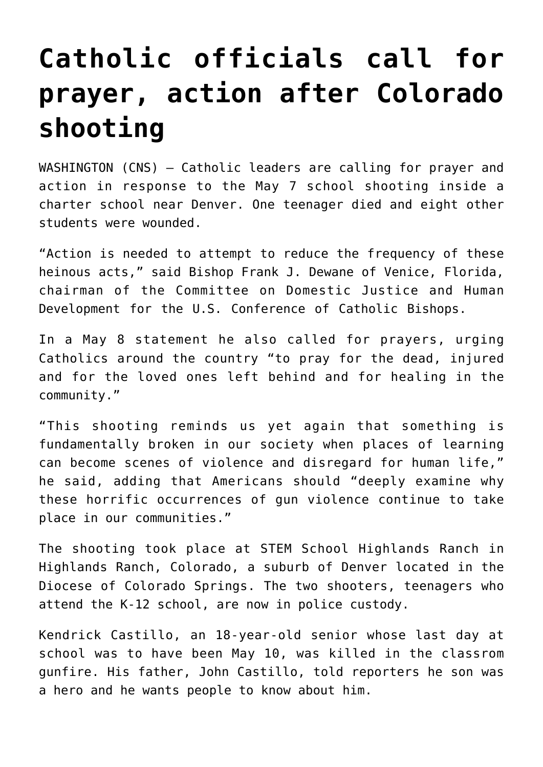## **[Catholic officials call for](https://www.osvnews.com/2019/05/08/catholic-officials-call-for-prayer-action-after-colorado-shooting/) [prayer, action after Colorado](https://www.osvnews.com/2019/05/08/catholic-officials-call-for-prayer-action-after-colorado-shooting/) [shooting](https://www.osvnews.com/2019/05/08/catholic-officials-call-for-prayer-action-after-colorado-shooting/)**

WASHINGTON (CNS) — Catholic leaders are calling for prayer and action in response to the May 7 school shooting inside a charter school near Denver. One teenager died and eight other students were wounded.

"Action is needed to attempt to reduce the frequency of these heinous acts," said Bishop Frank J. Dewane of Venice, Florida, chairman of the Committee on Domestic Justice and Human Development for the U.S. Conference of Catholic Bishops.

In a May 8 statement he also called for prayers, urging Catholics around the country "to pray for the dead, injured and for the loved ones left behind and for healing in the community."

"This shooting reminds us yet again that something is fundamentally broken in our society when places of learning can become scenes of violence and disregard for human life," he said, adding that Americans should "deeply examine why these horrific occurrences of gun violence continue to take place in our communities."

The shooting took place at STEM School Highlands Ranch in Highlands Ranch, Colorado, a suburb of Denver located in the Diocese of Colorado Springs. The two shooters, teenagers who attend the K-12 school, are now in police custody.

Kendrick Castillo, an 18-year-old senior whose last day at school was to have been May 10, was killed in the classrom gunfire. His father, John Castillo, told reporters he son was a hero and he wants people to know about him.